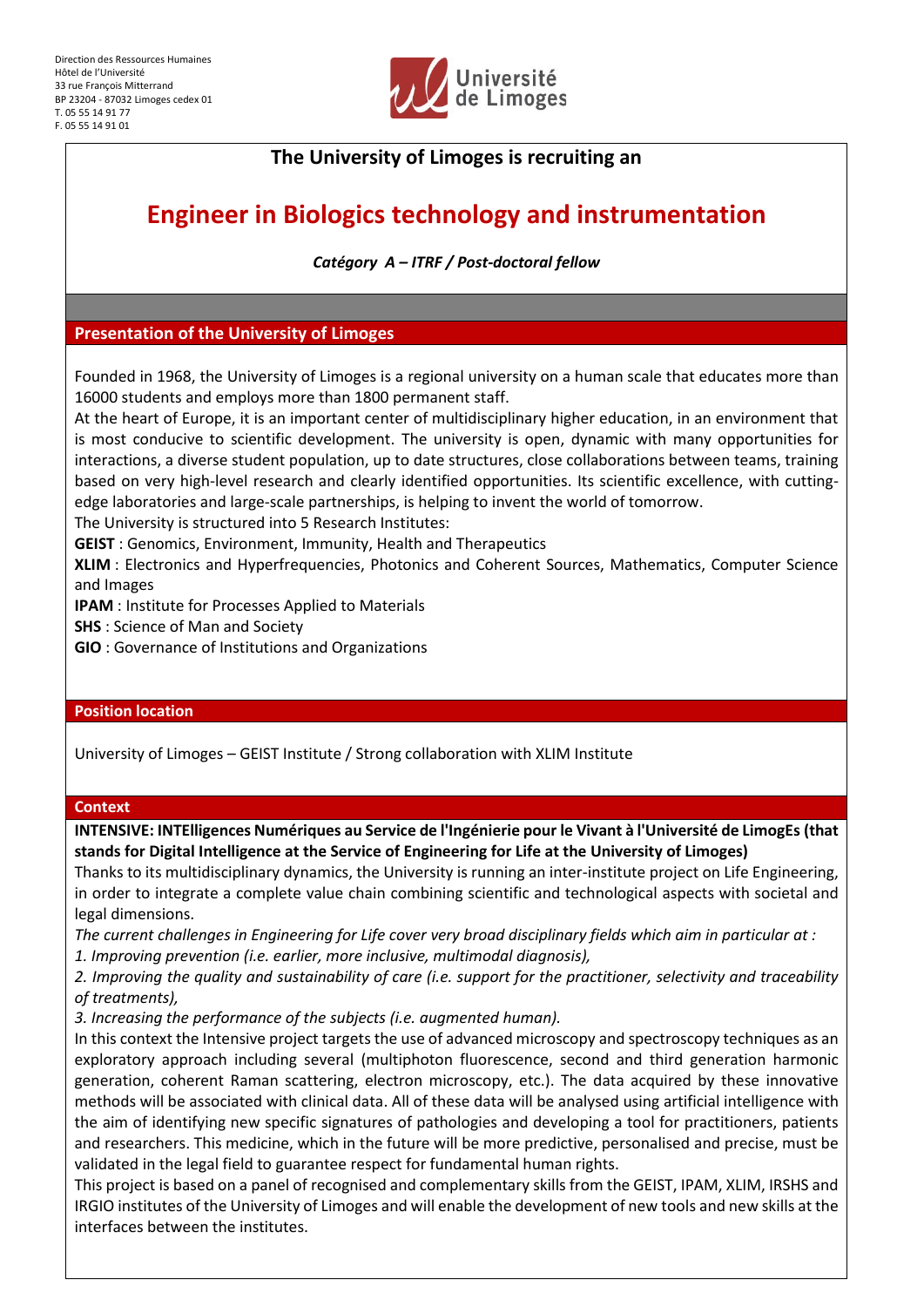

# **The University of Limoges is recruiting an**

# **Engineer in Biologics technology and instrumentation**

*Catégory A – ITRF / Post-doctoral fellow*

# **Presentation of the University of Limoges**

Founded in 1968, the University of Limoges is a regional university on a human scale that educates more than 16000 students and employs more than 1800 permanent staff.

At the heart of Europe, it is an important center of multidisciplinary higher education, in an environment that is most conducive to scientific development. The university is open, dynamic with many opportunities for interactions, a diverse student population, up to date structures, close collaborations between teams, training based on very high-level research and clearly identified opportunities. Its scientific excellence, with cuttingedge laboratories and large-scale partnerships, is helping to invent the world of tomorrow.

The University is structured into 5 Research Institutes:

**GEIST** : Genomics, Environment, Immunity, Health and Therapeutics

**XLIM** : Electronics and Hyperfrequencies, Photonics and Coherent Sources, Mathematics, Computer Science and Images

**IPAM** : Institute for Processes Applied to Materials

**SHS** : Science of Man and Society

**GIO** : Governance of Institutions and Organizations

# **Position location**

University of Limoges – GEIST Institute / Strong collaboration with XLIM Institute

# **Context**

**INTENSIVE: INTElligences Numériques au Service de l'Ingénierie pour le Vivant à l'Université de LimogEs (that stands for Digital Intelligence at the Service of Engineering for Life at the University of Limoges)**

Thanks to its multidisciplinary dynamics, the University is running an inter-institute project on Life Engineering, in order to integrate a complete value chain combining scientific and technological aspects with societal and legal dimensions.

*The current challenges in Engineering for Life cover very broad disciplinary fields which aim in particular at :*

*1. Improving prevention (i.e. earlier, more inclusive, multimodal diagnosis),*

*2. Improving the quality and sustainability of care (i.e. support for the practitioner, selectivity and traceability of treatments),*

*3. Increasing the performance of the subjects (i.e. augmented human).*

In this context the Intensive project targets the use of advanced microscopy and spectroscopy techniques as an exploratory approach including several (multiphoton fluorescence, second and third generation harmonic generation, coherent Raman scattering, electron microscopy, etc.). The data acquired by these innovative methods will be associated with clinical data. All of these data will be analysed using artificial intelligence with the aim of identifying new specific signatures of pathologies and developing a tool for practitioners, patients and researchers. This medicine, which in the future will be more predictive, personalised and precise, must be validated in the legal field to guarantee respect for fundamental human rights.

This project is based on a panel of recognised and complementary skills from the GEIST, IPAM, XLIM, IRSHS and IRGIO institutes of the University of Limoges and will enable the development of new tools and new skills at the interfaces between the institutes.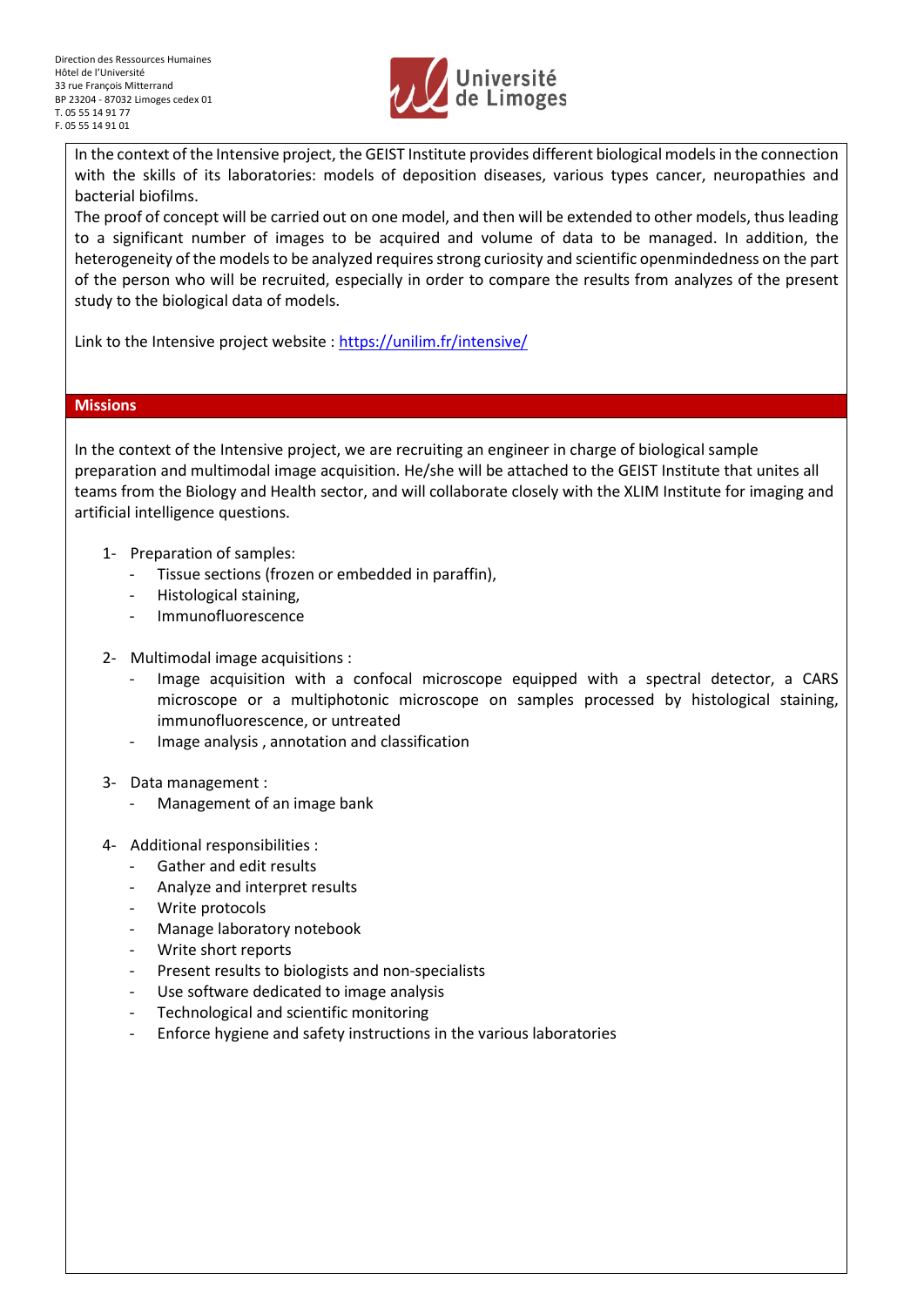

In the context of the Intensive project, the GEIST Institute provides different biological models in the connection with the skills of its laboratories: models of deposition diseases, various types cancer, neuropathies and bacterial biofilms.

The proof of concept will be carried out on one model, and then will be extended to other models, thus leading to a significant number of images to be acquired and volume of data to be managed. In addition, the heterogeneity of the models to be analyzed requires strong curiosity and scientific openmindedness on the part of the person who will be recruited, especially in order to compare the results from analyzes of the present study to the biological data of models.

Link to the Intensive project website :<https://unilim.fr/intensive/>

# **Missions**

In the context of the Intensive project, we are recruiting an engineer in charge of biological sample preparation and multimodal image acquisition. He/she will be attached to the GEIST Institute that unites all teams from the Biology and Health sector, and will collaborate closely with the XLIM Institute for imaging and artificial intelligence questions.

- 1- Preparation of samples:
	- Tissue sections (frozen or embedded in paraffin).
	- Histological staining,
	- Immunofluorescence
- 2- Multimodal image acquisitions :
	- Image acquisition with a confocal microscope equipped with a spectral detector, a CARS microscope or a multiphotonic microscope on samples processed by histological staining, immunofluorescence, or untreated
	- Image analysis , annotation and classification
- 3- Data management :
	- Management of an image bank
- 4- Additional responsibilities :
	- Gather and edit results
	- Analyze and interpret results
	- Write protocols
	- Manage laboratory notebook
	- Write short reports
	- Present results to biologists and non-specialists
	- Use software dedicated to image analysis
	- Technological and scientific monitoring
	- Enforce hygiene and safety instructions in the various laboratories